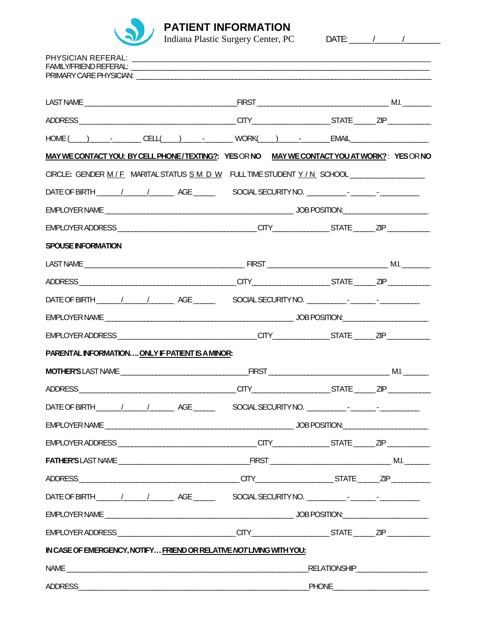

**PATIENT INFORMATION**<br>Indiana Plastic Surgery Center, PC DATE: 11 11

| $\text{HOME}(\hspace{1cm} ) \hspace{1cm} \text{CELL}(\hspace{1cm} ) \hspace{1cm} \text{LUMER}(\hspace{1cm} ) \hspace{1cm} \text{LUMER}(\hspace{1cm} )$ |                                |  |  |  |  |  |  |
|--------------------------------------------------------------------------------------------------------------------------------------------------------|--------------------------------|--|--|--|--|--|--|
| MAY WE CONTACT YOU: BY CELL PHONE/TEXTING?: YES OR NO MAY WE CONTACT YOU AT WORK? : YES OR NO                                                          |                                |  |  |  |  |  |  |
| CIRCLE: GENDER M/F MARITAL STATUS S M D W FULL TIME STUDENT Y/N SCHOOL_________________                                                                |                                |  |  |  |  |  |  |
|                                                                                                                                                        |                                |  |  |  |  |  |  |
|                                                                                                                                                        |                                |  |  |  |  |  |  |
|                                                                                                                                                        |                                |  |  |  |  |  |  |
| <b>SPOUSE INFORMATION</b>                                                                                                                              |                                |  |  |  |  |  |  |
|                                                                                                                                                        |                                |  |  |  |  |  |  |
|                                                                                                                                                        |                                |  |  |  |  |  |  |
| DATE OF BIRTH _______/______/___________AGE __________________SOCIAL SECURITY NO. ____________-_______________                                         |                                |  |  |  |  |  |  |
|                                                                                                                                                        |                                |  |  |  |  |  |  |
|                                                                                                                                                        |                                |  |  |  |  |  |  |
| PARENTAL INFORMATION ONLY IF PATIENT IS A MINOR:                                                                                                       |                                |  |  |  |  |  |  |
|                                                                                                                                                        |                                |  |  |  |  |  |  |
|                                                                                                                                                        |                                |  |  |  |  |  |  |
|                                                                                                                                                        |                                |  |  |  |  |  |  |
|                                                                                                                                                        |                                |  |  |  |  |  |  |
|                                                                                                                                                        |                                |  |  |  |  |  |  |
|                                                                                                                                                        |                                |  |  |  |  |  |  |
|                                                                                                                                                        |                                |  |  |  |  |  |  |
|                                                                                                                                                        |                                |  |  |  |  |  |  |
|                                                                                                                                                        |                                |  |  |  |  |  |  |
|                                                                                                                                                        |                                |  |  |  |  |  |  |
| IN CASE OF EMERGENCY, NOTIFY FRIEND OR RELATIVE NOT LIVING WITH YOU:                                                                                   |                                |  |  |  |  |  |  |
|                                                                                                                                                        | RELATIONSHIP__________________ |  |  |  |  |  |  |
|                                                                                                                                                        | ADDRESS ADDRESS<br>PHONE PHONE |  |  |  |  |  |  |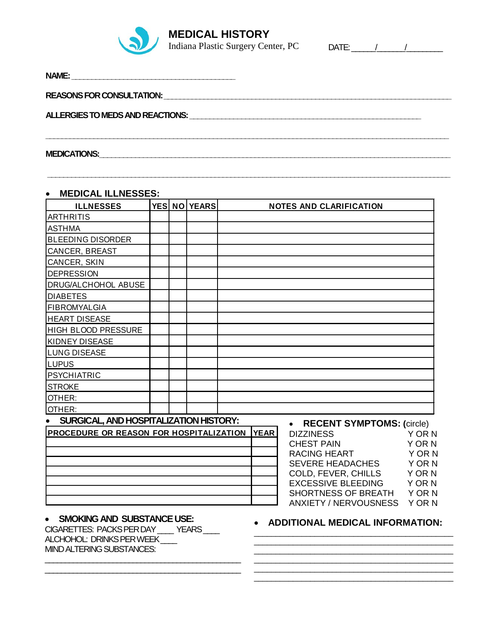

**MEDICAL HISTORY** 

Indiana Plastic Surgery Center, PC DATE: 1

| NAME:                                                                                                          |  |
|----------------------------------------------------------------------------------------------------------------|--|
|                                                                                                                |  |
| ALLERGIES TO MEDS AND REACTIONS: Under an annual contract of the set of the set of the set of the set of the s |  |
|                                                                                                                |  |
| <b>MEDICATIONS:</b>                                                                                            |  |

**\_\_\_\_\_\_\_\_\_\_\_\_\_\_\_\_\_\_\_\_\_\_\_\_\_\_\_\_\_\_\_\_\_\_\_\_\_\_\_\_\_\_\_\_\_\_\_\_\_\_\_\_\_\_\_\_\_\_\_\_\_\_\_\_\_\_\_\_\_\_\_\_\_\_\_\_\_\_\_\_\_\_\_\_\_\_\_\_\_\_\_\_\_\_\_\_\_\_\_\_\_**

## • **MEDICAL ILLNESSES:**

| <b>ILLNESSES</b>                        |  | YES NO YEARS |             | <b>NOTES AND CLARIFICATION</b>                      |                            |
|-----------------------------------------|--|--------------|-------------|-----------------------------------------------------|----------------------------|
| <b>ARTHRITIS</b>                        |  |              |             |                                                     |                            |
| <b>ASTHMA</b>                           |  |              |             |                                                     |                            |
| <b>BLEEDING DISORDER</b>                |  |              |             |                                                     |                            |
| CANCER, BREAST                          |  |              |             |                                                     |                            |
| CANCER, SKIN                            |  |              |             |                                                     |                            |
| <b>DEPRESSION</b>                       |  |              |             |                                                     |                            |
| DRUG/ALCHOHOL ABUSE                     |  |              |             |                                                     |                            |
| <b>DIABETES</b>                         |  |              |             |                                                     |                            |
| <b>FIBROMYALGIA</b>                     |  |              |             |                                                     |                            |
| <b>HEART DISEASE</b>                    |  |              |             |                                                     |                            |
| HIGH BLOOD PRESSURE                     |  |              |             |                                                     |                            |
| KIDNEY DISEASE                          |  |              |             |                                                     |                            |
| <b>LUNG DISEASE</b>                     |  |              |             |                                                     |                            |
| <b>LUPUS</b>                            |  |              |             |                                                     |                            |
| <b>PSYCHIATRIC</b>                      |  |              |             |                                                     |                            |
| <b>STROKE</b>                           |  |              |             |                                                     |                            |
| OTHER:                                  |  |              |             |                                                     |                            |
| OTHER:                                  |  |              |             |                                                     |                            |
| SURGICAL, AND HOSPITALIZATION HISTORY:  |  |              |             | <b>RECENT SYMPTOMS: (circle)</b>                    |                            |
| PROCEDURE OR REASON FOR HOSPITALIZATION |  |              | <b>YEAR</b> | <b>DIZZINESS</b>                                    | Y OR N                     |
|                                         |  |              |             | <b>CHEST PAIN</b>                                   | Y OR N                     |
|                                         |  |              |             | <b>RACING HEART</b>                                 | Y OR N                     |
|                                         |  |              |             | <b>SEVERE HEADACHES</b>                             | Y OR N                     |
|                                         |  |              |             | COLD, FEVER, CHILLS                                 | Y OR N                     |
|                                         |  |              |             | <b>EXCESSIVE BLEEDING</b>                           | Y OR N                     |
|                                         |  |              |             | SHORTNESS OF BREATH<br><b>ANXIETY / NERVOUSNESS</b> | <b>YORN</b><br><b>YORN</b> |
|                                         |  |              |             |                                                     |                            |

# • **SMOKING AND SUBSTANCE USE:**

CIGARETTES: PACKS PER DAY \_\_\_\_ YEARS \_\_\_\_ ALCHOHOL: DRINKS PER WEEK \_\_\_\_ MIND ALTERING SUBSTANCES:

\_\_\_\_\_\_\_\_\_\_\_\_\_\_\_\_\_\_\_\_\_\_\_\_\_\_\_\_\_\_\_\_\_\_\_\_\_\_\_\_\_\_\_\_\_\_\_\_\_ \_\_\_\_\_\_\_\_\_\_\_\_\_\_\_\_\_\_\_\_\_\_\_\_\_\_\_\_\_\_\_\_\_\_\_\_\_\_\_\_\_\_\_\_\_\_\_\_\_

# • **ADDITIONAL MEDICAL INFORMATION:**

\_\_\_\_\_\_\_\_\_\_\_\_\_\_\_\_\_\_\_\_\_\_\_\_\_\_\_\_\_\_\_\_\_\_\_\_\_\_\_\_\_\_\_\_\_\_

\_\_\_\_\_\_\_\_\_\_\_\_\_\_\_\_\_\_\_\_\_\_\_\_\_\_\_\_\_\_\_\_\_\_\_\_\_\_\_\_\_\_\_\_\_\_ \_\_\_\_\_\_\_\_\_\_\_\_\_\_\_\_\_\_\_\_\_\_\_\_\_\_\_\_\_\_\_\_\_\_\_\_\_\_\_\_\_\_\_\_\_\_ \_\_\_\_\_\_\_\_\_\_\_\_\_\_\_\_\_\_\_\_\_\_\_\_\_\_\_\_\_\_\_\_\_\_\_\_\_\_\_\_\_\_\_\_\_\_ \_\_\_\_\_\_\_\_\_\_\_\_\_\_\_\_\_\_\_\_\_\_\_\_\_\_\_\_\_\_\_\_\_\_\_\_\_\_\_\_\_\_\_\_\_\_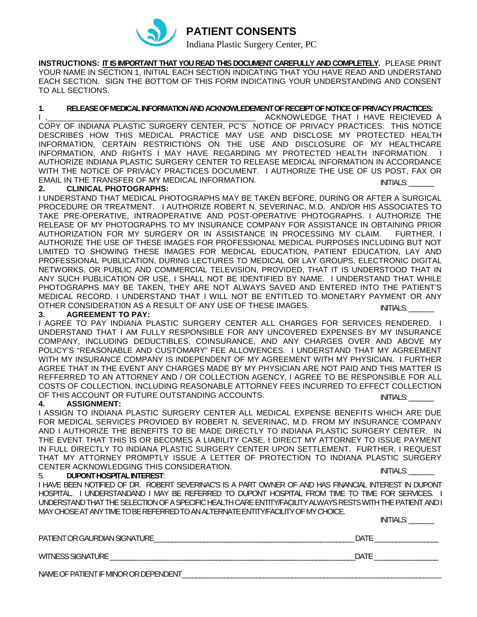

**INSTRUCTIONS: IT IS IMPORTANT THAT YOU READ THIS DOCUMENT CAREFULLY AND COMPLETELY.** PLEASE PRINT YOUR NAME IN SECTION 1, INITIAL EACH SECTION INDICATING THAT YOU HAVE READ AND UNDERSTAND EACH SECTION. SIGN THE BOTTOM OF THIS FORM INDICATING YOUR UNDERSTANDING AND CONSENT TO ALL SECTIONS.

### **1. RELEASE OF MEDICAL INFORMATION AND ACKNOWLEDEMENT OF RECEIPT OF NOTICE OF PRIVACY PRACTICES:**

INITIALS: I ,\_\_\_\_\_\_\_\_\_\_\_\_\_\_\_\_\_\_\_\_\_\_\_\_\_\_\_\_\_\_\_\_\_\_\_\_\_\_\_\_\_\_\_\_\_\_\_\_ ACKNOWLEDGE THAT I HAVE REICIEVED A COPY OF INDIANA PLASTIC SURGERY CENTER, PC'S NOTICE OF PRIVACY PRACTICES. THIS NOTICE DESCRIBES HOW THIS MEDICAL PRACTICE MAY USE AND DISCLOSE MY PROTECTED HEALTH INFORMATION, CERTAIN RESTRICTIONS ON THE USE AND DISCLOSURE OF MY HEALTHCARE INFORMATION, AND RIGHTS I MAY HAVE REGARDING MY PROTECTED HEALTH INFORMATION. I AUTHORIZE INDIANA PLASTIC SURGERY CENTER TO RELEASE MEDICAL INFORMATION IN ACCORDANCE WITH THE NOTICE OF PRIVACY PRACTICES DOCUMENT. I AUTHORIZE THE USE OF US POST, FAX OR EMAIL IN THE TRANSFER OF MY MEDICAL INFORMATION.

#### **2. CLINICAL PHOTOGRAPHS:**

I UNDERSTAND THAT MEDICAL PHOTOGRAPHS MAY BE TAKEN BEFORE, DURING OR AFTER A SURGICAL PROCEDURE OR TREATMENT. I AUTHORIZE ROBERT N. SEVERINAC, M.D. AND/OR HIS ASSOCIATES TO TAKE PRE-OPERATIVE, INTRAOPERATIVE AND POST-OPERATIVE PHOTOGRAPHS. I AUTHORIZE THE RELEASE OF MY PHOTOGRAPHS TO MY INSURANCE COMPANY FOR ASSISTANCE IN OBTAINING PRIOR AUTHORIZATION FOR MY SURGERY OR IN ASSISTANCE IN PROCESSING MY CLAIM. FURTHER, I AUTHORIZE THE USE OF THESE IMAGES FOR PROFESSIONAL MEDICAL PURPOSES INCLUDING BUT NOT LIMITED TO SHOWING THESE IMAGES FOR MEDICAL EDUCATION, PATIENT EDUCATION, LAY AND PROFESSIONAL PUBLICATION, DURING LECTURES TO MEDICAL OR LAY GROUPS, ELECTRONIC DIGITAL NETWORKS, OR PUBLIC AND COMMERCIAL TELEVISION, PROVIDED, THAT IT IS UNDERSTOOD THAT IN ANY SUCH PUBLICATION OR USE, I SHALL NOT BE IDENTIFIED BY NAME. I UNDERSTAND THAT WHILE PHOTOGRAPHS MAY BE TAKEN, THEY ARE NOT ALWAYS SAVED AND ENTERED INTO THE PATIENT'S MEDICAL RECORD. I UNDERSTAND THAT I WILL NOT BE ENTITLED TO MONETARY PAYMENT OR ANY OTHER CONSIDERATI0N AS A RESULT OF ANY USE OF THESE IMAGES. INITIALS:

#### **3. AGREEMENT TO PAY:**

I AGREE TO PAY INDIANA PLASTIC SURGERY CENTER ALL CHARGES FOR SERVICES RENDERED. I UNDERSTAND THAT I AM FULLY RESPONSIBLE FOR ANY UNCOVERED EXPENSES BY MY INSURANCE COMPANY, INCLUDING DEDUCTIBLES, COINSURANCE, AND ANY CHARGES OVER AND ABOVE MY POLICY'S "REASONABLE AND CUSTOMARY" FEE ALLOWENCES. I UNDERSTAND THAT MY AGREEMENT WITH MY INSURANCE COMPANY IS INDEPENDENT OF MY AGREEMENT WITH MY PHYSICIAN. I FURTHER AGREE THAT IN THE EVENT ANY CHARGES MADE BY MY PHYSICIAN ARE NOT PAID AND THIS MATTER IS REFFERRED TO AN ATTORNEY AND / OR COLLECTION AGENCY, I AGREE TO BE RESPONSIBLE FOR ALL COSTS OF COLLECTION, INCLUDING REASONABLE ATTORNEY FEES INCURRED TO EFFECT COLLECTION OF THIS ACCOUNT OR FUTURE OUTSTANDING ACCOUNTS. INITIALS: \_\_\_\_\_\_\_

#### **4. ASSIGNMENT:**

I ASSIGN TO INDIANA PLASTIC SURGERY CENTER ALL MEDICAL EXPENSE BENEFITS WHICH ARE DUE FOR MEDICAL SERVICES PROVIDED BY ROBERT N. SEVERINAC, M.D. FROM MY INSURANCE COMPANY AND I AUTHORIZE THE BENEFITS TO BE MADE DIRECTLY TO INDIANA PLASTIC SURGERY CENTER. IN THE EVENT THAT THIS IS OR BECOMES A LIABILITY CASE, I DIRECT MY ATTORNEY TO ISSUE PAYMENT IN FULL DIRECTLY TO INDIANA PLASTIC SURGERY CENTER UPON SETTLEMENT. FURTHER, I REQUEST THAT MY ATTORNEY PROMPTLY ISSUE A LETTER OF PROTECTION TO INDIANA PLASTIC SURGERY CENTER ACKNOWLEDGING THIS CONSIDERATION. INITIALS:

### 5. **DUPONT HOSPITAL INTEREST**:

I HAVE BEEN NOTIFIED OF DR. ROBERT SEVERINAC'S IS A PART OWNER OF AND HAS FINANCIAL INTEREST IN DUPONT HOSPITAL. I UNDERSTANDAND I MAY BE REFERRED TO DUPONT HOSPITAL FROM TIME TO TIME FOR SERVICES. I UNDERSTAND THAT THE SELECTION OF A SPECIFIC HEALTH CARE ENTITY/FACILITY ALWAYS RESTS WITH THE PATIENT AND I MAY CHOSEAT ANY TIME TO BE REFERRED TO AN ALTERNATE ENTITY/FACILITY OF MY CHOICE.

INITIALS:

| PATIENT OR GAURDIAN SIGNATURE         | DATE |
|---------------------------------------|------|
| WITNESS SIGNATURE                     | DATE |
| NAME OF PATIENT IF MINOR OR DEPENDENT |      |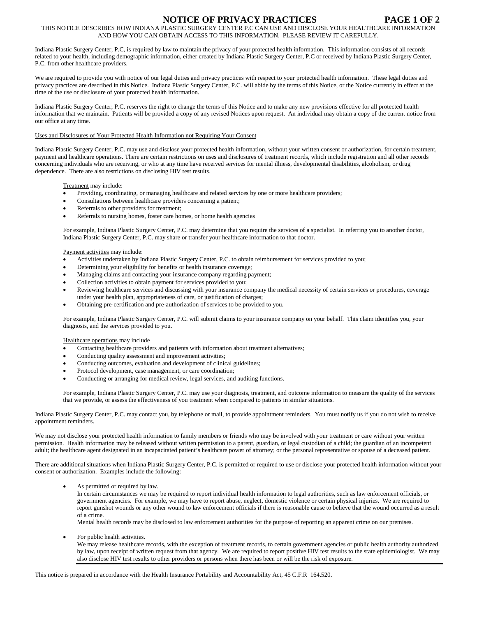## **NOTICE OF PRIVACY PRACTICES PAGE 1 OF 2**

THIS NOTICE DESCRIBES HOW INDIANA PLASTIC SURGERY CENTER P.C CAN USE AND DISCLOSE YOUR HEALTHCARE INFORMATION AND HOW YOU CAN OBTAIN ACCESS TO THIS INFORMATION. PLEASE REVIEW IT CAREFULLY.

Indiana Plastic Surgery Center, P.C, is required by law to maintain the privacy of your protected health information. This information consists of all records related to your health, including demographic information, either created by Indiana Plastic Surgery Center, P.C or received by Indiana Plastic Surgery Center, P.C. from other healthcare providers.

We are required to provide you with notice of our legal duties and privacy practices with respect to your protected health information. These legal duties and privacy practices are described in this Notice. Indiana Plastic Surgery Center, P.C. will abide by the terms of this Notice, or the Notice currently in effect at the time of the use or disclosure of your protected health information.

Indiana Plastic Surgery Center, P.C. reserves the right to change the terms of this Notice and to make any new provisions effective for all protected health information that we maintain. Patients will be provided a copy of any revised Notices upon request. An individual may obtain a copy of the current notice from our office at any time.

#### Uses and Disclosures of Your Protected Health Information not Requiring Your Consent

Indiana Plastic Surgery Center, P.C. may use and disclose your protected health information, without your written consent or authorization, for certain treatment, payment and healthcare operations. There are certain restrictions on uses and disclosures of treatment records, which include registration and all other records concerning individuals who are receiving, or who at any time have received services for mental illness, developmental disabilities, alcoholism, or drug dependence. There are also restrictions on disclosing HIV test results.

Treatment may include:

- Providing, coordinating, or managing healthcare and related services by one or more healthcare providers;
- Consultations between healthcare providers concerning a patient;
- Referrals to other providers for treatment:
- Referrals to nursing homes, foster care homes, or home health agencies

For example, Indiana Plastic Surgery Center, P.C. may determine that you require the services of a specialist. In referring you to another doctor, Indiana Plastic Surgery Center, P.C. may share or transfer your healthcare information to that doctor.

Payment activities may include:

- Activities undertaken by Indiana Plastic Surgery Center, P.C. to obtain reimbursement for services provided to you;
- Determining your eligibility for benefits or health insurance coverage;
- Managing claims and contacting your insurance company regarding payment;
- Collection activities to obtain payment for services provided to you;
- Reviewing healthcare services and discussing with your insurance company the medical necessity of certain services or procedures, coverage under your health plan, appropriateness of care, or justification of charges;
- Obtaining pre-certification and pre-authorization of services to be provided to you.

For example, Indiana Plastic Surgery Center, P.C. will submit claims to your insurance company on your behalf. This claim identifies you, your diagnosis, and the services provided to you.

Healthcare operations may include

- Contacting healthcare providers and patients with information about treatment alternatives;
- Conducting quality assessment and improvement activities;
- Conducting outcomes, evaluation and development of clinical guidelines;
- Protocol development, case management, or care coordination;
- Conducting or arranging for medical review, legal services, and auditing functions.

For example, Indiana Plastic Surgery Center, P.C. may use your diagnosis, treatment, and outcome information to measure the quality of the services that we provide, or assess the effectiveness of you treatment when compared to patients in similar situations.

Indiana Plastic Surgery Center, P.C. may contact you, by telephone or mail, to provide appointment reminders. You must notify us if you do not wish to receive appointment reminders.

We may not disclose your protected health information to family members or friends who may be involved with your treatment or care without your written permission. Health information may be released without written permission to a parent, guardian, or legal custodian of a child; the guardian of an incompetent adult; the healthcare agent designated in an incapacitated patient's healthcare power of attorney; or the personal representative or spouse of a deceased patient.

There are additional situations when Indiana Plastic Surgery Center, P.C. is permitted or required to use or disclose your protected health information without your consent or authorization. Examples include the following:

As permitted or required by law.

In certain circumstances we may be required to report individual health information to legal authorities, such as law enforcement officials, or government agencies. For example, we may have to report abuse, neglect, domestic violence or certain physical injuries. We are required to report gunshot wounds or any other wound to law enforcement officials if there is reasonable cause to believe that the wound occurred as a result of a crime.

Mental health records may be disclosed to law enforcement authorities for the purpose of reporting an apparent crime on our premises.

For public health activities.

We may release healthcare records, with the exception of treatment records, to certain government agencies or public health authority authorized by law, upon receipt of written request from that agency. We are required to report positive HIV test results to the state epidemiologist. We may also disclose HIV test results to other providers or persons when there has been or will be the risk of exposure.

This notice is prepared in accordance with the Health Insurance Portability and Accountability Act, 45 C.F.R 164.520.